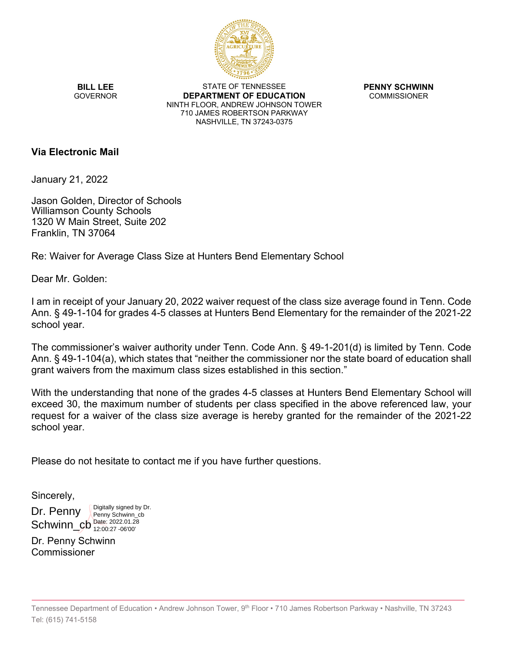

**BILL LEE GOVERNOR** 

STATE OF TENNESSEE **DEPARTMENT OF EDUCATION** NINTH FLOOR, ANDREW JOHNSON TOWER 710 JAMES ROBERTSON PARKWAY NASHVILLE, TN 37243-0375

**PENNY SCHWINN** COMMISSIONER

### **Via Electronic Mail**

January 21, 2022

Jason Golden, Director of Schools Williamson County Schools 1320 W Main Street, Suite 202 Franklin, TN 37064

Re: Waiver for Average Class Size at Hunters Bend Elementary School

Dear Mr. Golden:

I am in receipt of your January 20, 2022 waiver request of the class size average found in Tenn. Code Ann. § 49-1-104 for grades 4-5 classes at Hunters Bend Elementary for the remainder of the 2021-22 school year.

The commissioner's waiver authority under Tenn. Code Ann. § 49-1-201(d) is limited by Tenn. Code Ann. § 49-1-104(a), which states that "neither the commissioner nor the state board of education shall grant waivers from the maximum class sizes established in this section."

With the understanding that none of the grades 4-5 classes at Hunters Bend Elementary School will exceed 30, the maximum number of students per class specified in the above referenced law, your request for a waiver of the class size average is hereby granted for the remainder of the 2021-22 school year.

Please do not hesitate to contact me if you have further questions.

Sincerely,

Dr. Penny Schwinn\_cb<sup>Date: 2022.01.28</sup> Digitally signed by Dr. Penny Schwinn\_cb 12:00:27 -06'00'

Dr. Penny Schwinn Commissioner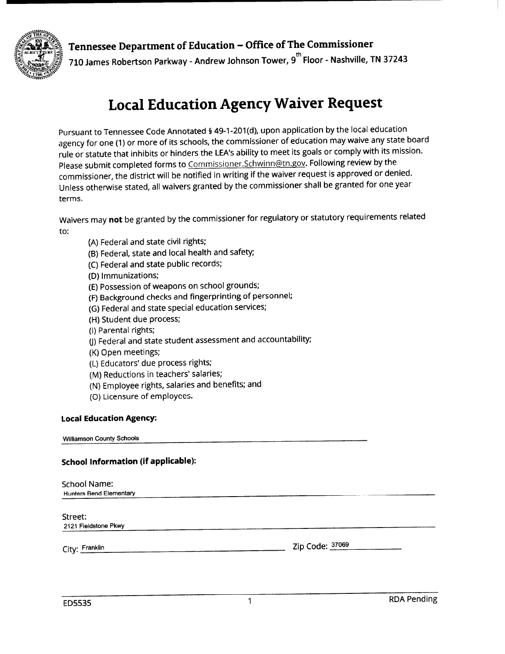

## Tennessee Department of Education - Office of The Commissioner

710 James Robertson Parkway - Andrew Johnson Tower, 9<sup>th</sup> Floor - Nashville, TN 37243

# **Local Education Agency Waiver Request**

Pursuant to Tennessee Code Annotated § 49-1-201(d), upon application by the local education agency for one (1) or more of its schools, the commissioner of education may waive any state board rule or statute that inhibits or hinders the LEA's ability to meet its goals or comply with its mission. Please submit completed forms to Commissioner.Schwinn@tn.gov. Following review by the commissioner, the district will be notified in writing if the waiver request is approved or denied. Unless otherwise stated, all waivers granted by the commissioner shall be granted for one year terms.

Waivers may not be granted by the commissioner for regulatory or statutory requirements related to:

- (A) Federal and state civil rights;
- (B) Federal, state and local health and safety;
- (C) Federal and state public records;
- (D) Immunizations;
- (E) Possession of weapons on school grounds;
- (F) Background checks and fingerprinting of personnel;
- (G) Federal and state special education services;
- (H) Student due process;
- (I) Parental rights;
- (J) Federal and state student assessment and accountability;
- (K) Open meetings;
- (L) Educators' due process rights;
- (M) Reductions in teachers' salaries;
- (N) Employee rights, salaries and benefits; and
- (O) Licensure of employees.

#### **Local Education Agency:**

**Williamson County Schools** 

#### **School Information (if applicable):**

| <b>School Name:</b><br><b>Hunters Bend Elementary</b> |                 |
|-------------------------------------------------------|-----------------|
| Street:<br>2121 Fieldstone Pkwy                       |                 |
| City: Franklin                                        | Zip Code: 37069 |